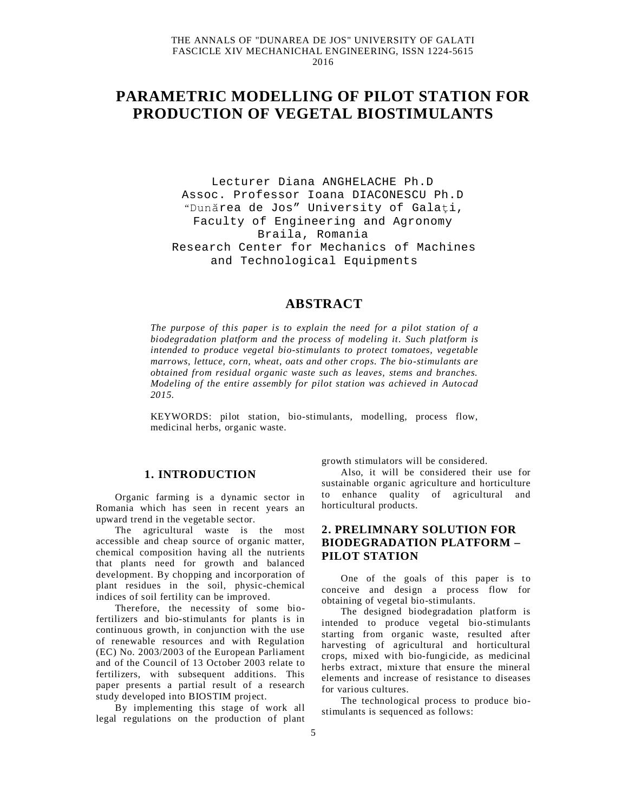# **PARAMETRIC MODELLING OF PILOT STATION FOR PRODUCTION OF VEGETAL BIOSTIMULANTS**

Lecturer Diana ANGHELACHE Ph.D Assoc. Professor Ioana DIACONESCU Ph.D "Dunărea de Jos" University of Galaţi, Faculty of Engineering and Agronomy Braila, Romania Research Center for Mechanics of Machines and Technological Equipments

# **ABSTRACT**

*The purpose of this paper is to explain the need for a pilot station of a biodegradation platform and the process of modeling it. Such platform is intended to produce vegetal bio-stimulants to protect tomatoes, vegetable marrows, lettuce, corn, wheat, oats and other crops. The bio-stimulants are obtained from residual organic waste such as leaves, stems and branches. Modeling of the entire assembly for pilot station was achieved in Autocad 2015.*

KEYWORDS: pilot station, bio-stimulants, modelling, process flow, medicinal herbs, organic waste.

### **1. INTRODUCTION**

Organic farming is a dynamic sector in Romania which has seen in recent years an upward trend in the vegetable sector.

The agricultural waste is the most accessible and cheap source of organic matter, chemical composition having all the nutrients that plants need for growth and balanced development. By chopping and incorporation of plant residues in the soil, physic-chemical indices of soil fertility can be improved.

Therefore, the necessity of some biofertilizers and bio-stimulants for plants is in continuous growth, in conjunction with the use of renewable resources and with Regulation (EC) No. 2003/2003 of the European Parliament and of the Council of 13 October 2003 relate to fertilizers, with subsequent additions. This paper presents a partial result of a research study developed into BIOSTIM project.

By implementing this stage of work all legal regulations on the production of plant growth stimulators will be considered.

Also, it will be considered their use for sustainable organic agriculture and horticulture to enhance quality of agricultural and horticultural products.

#### **2. PRELIMNARY SOLUTION FOR BIODEGRADATION PLATFORM – PILOT STATION**

One of the goals of this paper is to conceive and design a process flow for obtaining of vegetal bio-stimulants.

The designed biodegradation platform is intended to produce vegetal bio-stimulants starting from organic waste, resulted after harvesting of agricultural and horticultural crops, mixed with bio-fungicide, as medicinal herbs extract, mixture that ensure the mineral elements and increase of resistance to diseases for various cultures.

The technological process to produce biostimulants is sequenced as follows: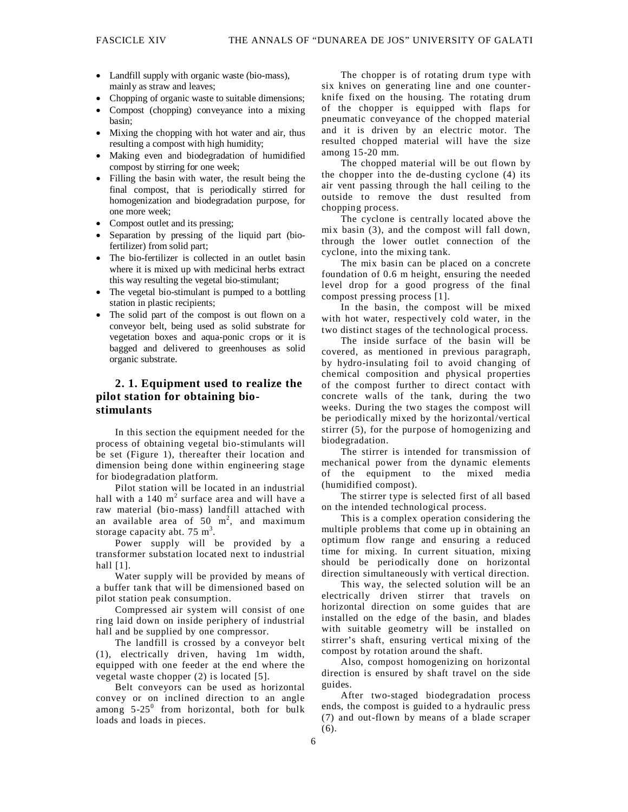- Landfill supply with organic waste (bio-mass), mainly as straw and leaves;
- Chopping of organic waste to suitable dimensions;
- Compost (chopping) conveyance into a mixing basin;
- Mixing the chopping with hot water and air, thus resulting a compost with high humidity;
- Making even and biodegradation of humidified compost by stirring for one week;
- Filling the basin with water, the result being the final compost, that is periodically stirred for homogenization and biodegradation purpose, for one more week;
- Compost outlet and its pressing;
- Separation by pressing of the liquid part (biofertilizer) from solid part;
- The bio-fertilizer is collected in an outlet basin where it is mixed up with medicinal herbs extract this way resulting the vegetal bio-stimulant;
- The vegetal bio-stimulant is pumped to a bottling station in plastic recipients;
- The solid part of the compost is out flown on a conveyor belt, being used as solid substrate for vegetation boxes and aqua-ponic crops or it is bagged and delivered to greenhouses as solid organic substrate.

### **2. 1. Equipment used to realize the pilot station for obtaining biostimulants**

In this section the equipment needed for the process of obtaining vegetal bio-stimulants will be set (Figure 1), thereafter their location and dimension being done within engineering stage for biodegradation platform.

Pilot station will be located in an industrial hall with a  $140 \text{ m}^2$  surface area and will have a raw material (bio-mass) landfill attached with an available area of  $50 \text{ m}^2$ , and maximum storage capacity abt. 75  $m^3$ .

Power supply will be provided by a transformer substation located next to industrial hall [1].

Water supply will be provided by means of a buffer tank that will be dimensioned based on pilot station peak consumption.

Compressed air system will consist of one ring laid down on inside periphery of industrial hall and be supplied by one compressor.

The landfill is crossed by a conveyor belt (1), electrically driven, having 1m width, equipped with one feeder at the end where the vegetal waste chopper (2) is located [5].

Belt conveyors can be used as horizontal convey or on inclined direction to an angle among  $5-25^{\circ}$  from horizontal, both for bulk loads and loads in pieces.

The chopper is of rotating drum type with six knives on generating line and one counterknife fixed on the housing. The rotating drum of the chopper is equipped with flaps for pneumatic conveyance of the chopped material and it is driven by an electric motor. The resulted chopped material will have the size among 15-20 mm.

The chopped material will be out flown by the chopper into the de-dusting cyclone (4) its air vent passing through the hall ceiling to the outside to remove the dust resulted from chopping process.

The cyclone is centrally located above the mix basin (3), and the compost will fall down, through the lower outlet connection of the cyclone, into the mixing tank.

The mix basin can be placed on a concrete foundation of 0.6 m height, ensuring the needed level drop for a good progress of the final compost pressing process [1].

In the basin, the compost will be mixed with hot water, respectively cold water, in the two distinct stages of the technological process.

The inside surface of the basin will be covered, as mentioned in previous paragraph, by hydro-insulating foil to avoid changing of chemical composition and physical properties of the compost further to direct contact with concrete walls of the tank, during the two weeks. During the two stages the compost will be periodically mixed by the horizontal/vertical stirrer (5), for the purpose of homogenizing and biodegradation.

The stirrer is intended for transmission of mechanical power from the dynamic elements of the equipment to the mixed media (humidified compost).

The stirrer type is selected first of all based on the intended technological process.

This is a complex operation considering the multiple problems that come up in obtaining an optimum flow range and ensuring a reduced time for mixing. In current situation, mixing should be periodically done on horizontal direction simultaneously with vertical direction.

This way, the selected solution will be an electrically driven stirrer that travels on horizontal direction on some guides that are installed on the edge of the basin, and blades with suitable geometry will be installed on stirrer's shaft, ensuring vertical mixing of the compost by rotation around the shaft.

Also, compost homogenizing on horizontal direction is ensured by shaft travel on the side guides.

After two-staged biodegradation process ends, the compost is guided to a hydraulic press (7) and out-flown by means of a blade scraper (6).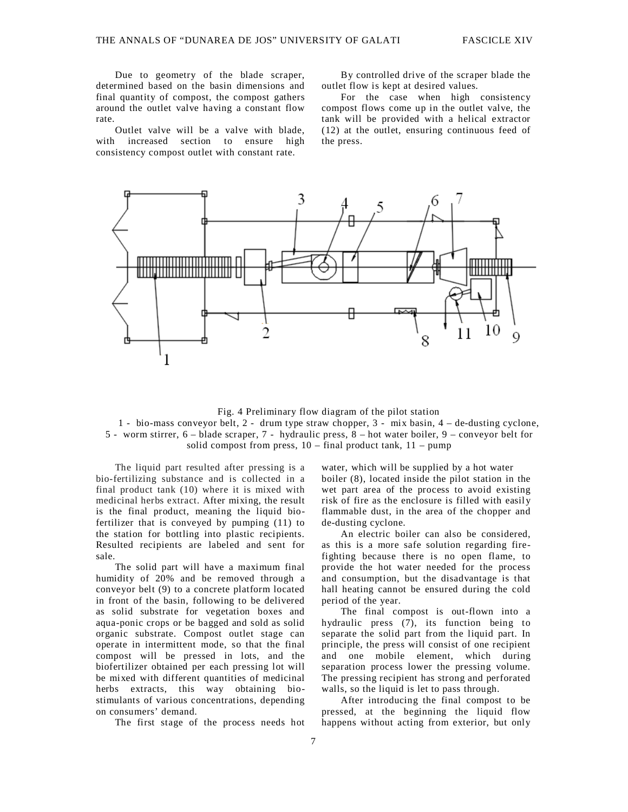Due to geometry of the blade scraper, determined based on the basin dimensions and final quantity of compost, the compost gathers around the outlet valve having a constant flow rate.

Outlet valve will be a valve with blade, with increased section to ensure high consistency compost outlet with constant rate.

By controlled drive of the scraper blade the outlet flow is kept at desired values.

For the case when high consistency compost flows come up in the outlet valve, the tank will be provided with a helical extractor (12) at the outlet, ensuring continuous feed of the press.



Fig. 4 Preliminary flow diagram of the pilot station 1 - bio-mass conveyor belt, 2 - drum type straw chopper, 3 - mix basin, 4 – de-dusting cyclone, 5 - worm stirrer, 6 – blade scraper, 7 - hydraulic press, 8 – hot water boiler, 9 – conveyor belt for solid compost from press,  $10 - \text{final}$  product tank,  $11 - \text{pump}$ 

The liquid part resulted after pressing is a bio-fertilizing substance and is collected in a final product tank (10) where it is mixed with medicinal herbs extract. After mixing, the result is the final product, meaning the liquid biofertilizer that is conveyed by pumping (11) to the station for bottling into plastic recipients. Resulted recipients are labeled and sent for sale.

The solid part will have a maximum final humidity of 20% and be removed through a conveyor belt (9) to a concrete platform located in front of the basin, following to be delivered as solid substrate for vegetation boxes and aqua-ponic crops or be bagged and sold as solid organic substrate. Compost outlet stage can operate in intermittent mode, so that the final compost will be pressed in lots, and the biofertilizer obtained per each pressing lot will be mixed with different quantities of medicinal herbs extracts, this way obtaining biostimulants of various concentrations, depending on consumers' demand.

The first stage of the process needs hot

water, which will be supplied by a hot water boiler (8), located inside the pilot station in the wet part area of the process to avoid existing risk of fire as the enclosure is filled with easily flammable dust, in the area of the chopper and de-dusting cyclone.

An electric boiler can also be considered, as this is a more safe solution regarding firefighting because there is no open flame, to provide the hot water needed for the process and consumption, but the disadvantage is that hall heating cannot be ensured during the cold period of the year.

The final compost is out-flown into a hydraulic press (7), its function being to separate the solid part from the liquid part. In principle, the press will consist of one recipient and one mobile element, which during separation process lower the pressing volume. The pressing recipient has strong and perforated walls, so the liquid is let to pass through.

After introducing the final compost to be pressed, at the beginning the liquid flow happens without acting from exterior, but only